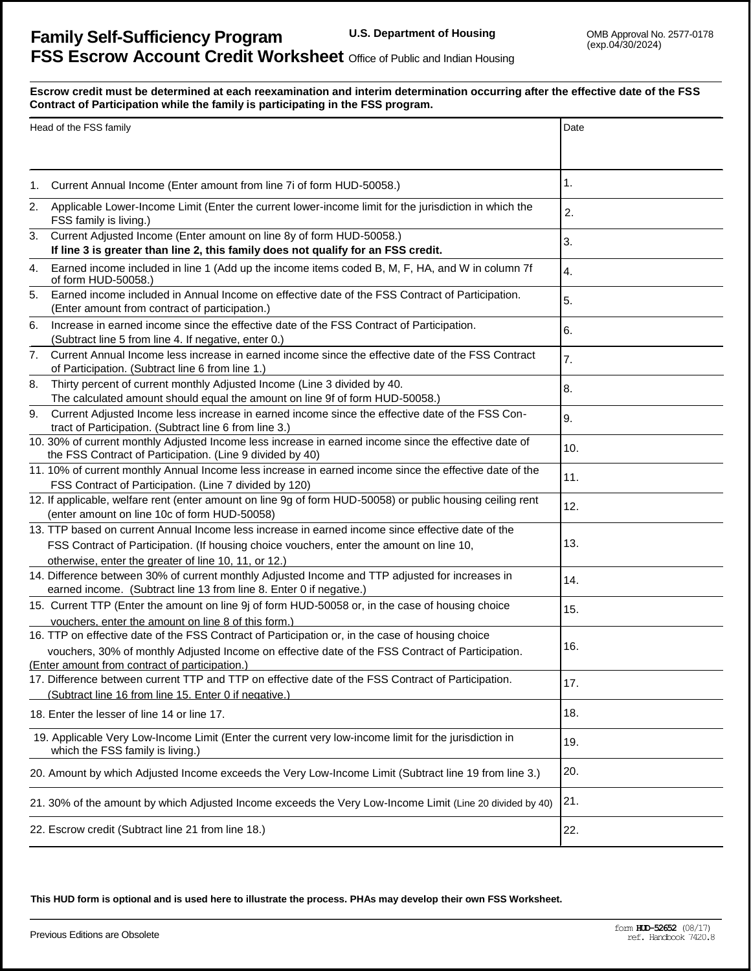## <u>ہ</u> **r Escrow credit must be determined at each reexamination and interim determination occurring after the effective date of the FSS Contract of Participation while the family is participating in the FSS program.**

| Head of the FSS family                                                                                                                    |                                                                                                                                                                                                                                                        | Date |
|-------------------------------------------------------------------------------------------------------------------------------------------|--------------------------------------------------------------------------------------------------------------------------------------------------------------------------------------------------------------------------------------------------------|------|
|                                                                                                                                           |                                                                                                                                                                                                                                                        |      |
| 1.                                                                                                                                        | Current Annual Income (Enter amount from line 7i of form HUD-50058.)                                                                                                                                                                                   | 1.   |
| 2.                                                                                                                                        | Applicable Lower-Income Limit (Enter the current lower-income limit for the jurisdiction in which the<br>FSS family is living.)                                                                                                                        | 2.   |
| 3.                                                                                                                                        | Current Adjusted Income (Enter amount on line 8y of form HUD-50058.)<br>If line 3 is greater than line 2, this family does not qualify for an FSS credit.                                                                                              | 3.   |
| 4.                                                                                                                                        | Earned income included in line 1 (Add up the income items coded B, M, F, HA, and W in column 7f<br>of form HUD-50058.)                                                                                                                                 | 4.   |
| 5.                                                                                                                                        | Earned income included in Annual Income on effective date of the FSS Contract of Participation.<br>(Enter amount from contract of participation.)                                                                                                      | 5.   |
| 6.                                                                                                                                        | Increase in earned income since the effective date of the FSS Contract of Participation.<br>(Subtract line 5 from line 4. If negative, enter 0.)                                                                                                       | 6.   |
| 7.                                                                                                                                        | Current Annual Income less increase in earned income since the effective date of the FSS Contract<br>of Participation. (Subtract line 6 from line 1.)                                                                                                  | 7.   |
| 8.                                                                                                                                        | Thirty percent of current monthly Adjusted Income (Line 3 divided by 40.<br>The calculated amount should equal the amount on line 9f of form HUD-50058.)                                                                                               | 8.   |
| 9.                                                                                                                                        | Current Adjusted Income less increase in earned income since the effective date of the FSS Con-<br>tract of Participation. (Subtract line 6 from line 3.)                                                                                              | 9.   |
|                                                                                                                                           | 10. 30% of current monthly Adjusted Income less increase in earned income since the effective date of<br>the FSS Contract of Participation. (Line 9 divided by 40)                                                                                     | 10.  |
|                                                                                                                                           | 11. 10% of current monthly Annual Income less increase in earned income since the effective date of the<br>FSS Contract of Participation. (Line 7 divided by 120)                                                                                      | 11.  |
|                                                                                                                                           | 12. If applicable, welfare rent (enter amount on line 9g of form HUD-50058) or public housing ceiling rent<br>(enter amount on line 10c of form HUD-50058)                                                                                             | 12.  |
|                                                                                                                                           | 13. TTP based on current Annual Income less increase in earned income since effective date of the<br>FSS Contract of Participation. (If housing choice vouchers, enter the amount on line 10,<br>otherwise, enter the greater of line 10, 11, or 12.)  | 13.  |
|                                                                                                                                           | 14. Difference between 30% of current monthly Adjusted Income and TTP adjusted for increases in<br>earned income. (Subtract line 13 from line 8. Enter 0 if negative.)                                                                                 | 14.  |
|                                                                                                                                           | 15. Current TTP (Enter the amount on line 9j of form HUD-50058 or, in the case of housing choice<br>vouchers, enter the amount on line 8 of this form.)                                                                                                | 15.  |
|                                                                                                                                           | 16. TTP on effective date of the FSS Contract of Participation or, in the case of housing choice<br>vouchers, 30% of monthly Adjusted Income on effective date of the FSS Contract of Participation.<br>(Enter amount from contract of participation.) | 16.  |
|                                                                                                                                           | 17. Difference between current TTP and TTP on effective date of the FSS Contract of Participation.<br>(Subtract line 16 from line 15. Enter 0 if negative.)                                                                                            | 17.  |
|                                                                                                                                           | 18. Enter the lesser of line 14 or line 17.                                                                                                                                                                                                            | 18.  |
| 19. Applicable Very Low-Income Limit (Enter the current very low-income limit for the jurisdiction in<br>which the FSS family is living.) |                                                                                                                                                                                                                                                        | 19.  |
| 20. Amount by which Adjusted Income exceeds the Very Low-Income Limit (Subtract line 19 from line 3.)                                     |                                                                                                                                                                                                                                                        | 20.  |
| 21. 30% of the amount by which Adjusted Income exceeds the Very Low-Income Limit (Line 20 divided by 40)                                  |                                                                                                                                                                                                                                                        | 21.  |
|                                                                                                                                           | 22. Escrow credit (Subtract line 21 from line 18.)                                                                                                                                                                                                     | 22.  |

**This HUD form is optional and is used here to illustrate the process. PHAs may develop their own FSS Worksheet.**

Previous